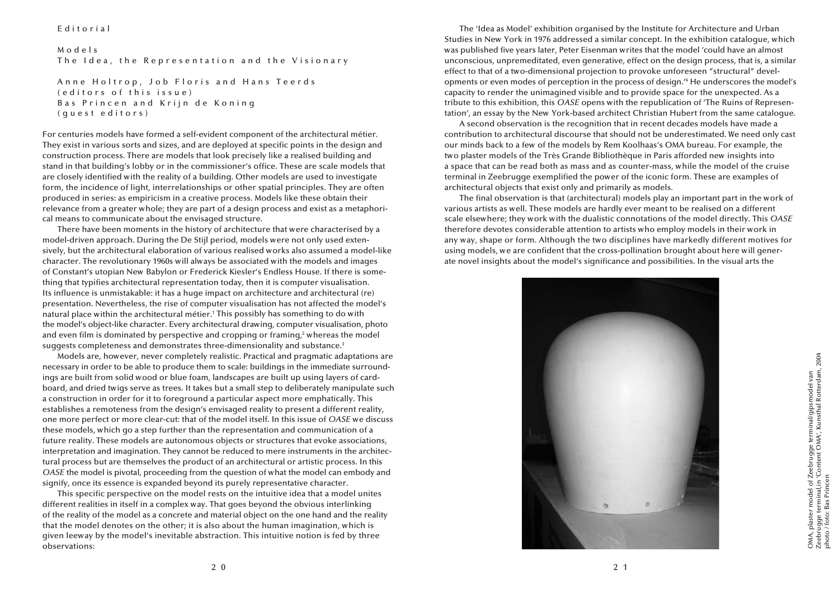## Editorial

M o d e l s The Idea, the Representation and the Visionary

Anne Holtrop, Job Floris and Hans Teerds ( editors of this issue) Bas Princen and Krijn de Koning ( guest editors)

For centuries models have formed a self-evident component of the architectural métier. They exist in various sorts and sizes, and are deployed at specific points in the design and construction process. There are models that look precisely like a realised building and stand in that building's lobby or in the commissioner's office. These are scale models that are closely identified with the reality of a building. Other models are used to investigate form, the incidence of light, interrelationships or other spatial principles. They are often produced in series: as empiricism in a creative process. Models like these obtain their relevance from a greater whole; they are part of a design process and exist as a metaphorical means to communicate about the envisaged structure.

There have been moments in the history of architecture that were characterised by a model-driven approach. During the De Stijl period, models were not only used extensively, but the architectural elaboration of various realised works also assumed a model-like character. The revolutionary 1960s will always be associated with the models and images of Constant's utopian New Babylon or Frederick Kiesler's Endless House. If there is something that typifies architectural representation today, then it is computer visualisation. Its influence is unmistakable: it has a huge impact on architecture and architectural (re) presentation. Nevertheless, the rise of computer visualisation has not affected the model's natural place within the architectural métier.1 This possibly has something to do with the model's object-like character. Every architectural drawing, computer visualisation, photo and even film is dominated by perspective and cropping or framing,<sup>2</sup> whereas the model suggests completeness and demonstrates three-dimensionality and substance.<sup>3</sup>

Models are, however, never completely realistic. Practical and pragmatic adaptations are necessary in order to be able to produce them to scale: buildings in the immediate surroundings are built from solid wood or blue foam, landscapes are built up using layers of cardboard, and dried twigs serve as trees. It takes but a small step to deliberately manipulate such a construction in order for it to foreground a particular aspect more emphatically. This establishes a remoteness from the design's envisaged reality to present a different reality, one more perfect or more clear-cut: that of the model itself. In this issue of *OASE* we discuss these models, which go a step further than the representation and communication of a future reality. These models are autonomous objects or structures that evoke associations, interpretation and imagination. They cannot be reduced to mere instruments in the architectural process but are themselves the product of an architectural or artistic process. In this *OASE* the model is pivotal, proceeding from the question of what the model can embody and signify, once its essence is expanded beyond its purely representative character.

This specific perspective on the model rests on the intuitive idea that a model unites different realities in itself in a complex way. That goes beyond the obvious interlinking of the reality of the model as a concrete and material object on the one hand and the reality that the model denotes on the other; it is also about the human imagination, which is given leeway by the model's inevitable abstraction. This intuitive notion is fed by three observations:

The 'Idea as Model' exhibition organised by the Institute for Architecture and Urban Studies in New York in 1976 addressed a similar concept. In the exhibition catalogue, which was published five years later, Peter Eisenman writes that the model 'could have an almost unconscious, unpremeditated, even generative, effect on the design process, that is, a similar effect to that of a two-dimensional projection to provoke unforeseen "structural" developments or even modes of perception in the process of design.<sup>14</sup> He underscores the model's capacity to render the unimagined visible and to provide space for the unexpected. As a tribute to this exhibition, this *OASE* opens with the republication of 'The Ruins of Representation', an essay by the New York-based architect Christian Hubert from the same catalogue.

A second observation is the recognition that in recent decades models have made a contribution to architectural discourse that should not be underestimated. We need only cast our minds back to a few of the models by Rem Koolhaas's OMA bureau. For example, the two plaster models of the Très Grande Bibliothèque in Paris afforded new insights into a space that can be read both as mass and as counter-mass, while the model of the cruise terminal in Zeebrugge exemplified the power of the iconic form. These are examples of architectural objects that exist only and primarily as models.

The final observation is that (architectural) models play an important part in the work of various artists as well. These models are hardly ever meant to be realised on a different scale elsewhere; they work with the dualistic connotations of the model directly. This *OASE* therefore devotes considerable attention to artists who employ models in their work in any way, shape or form. Although the two disciplines have markedly different motives for using models, we are confident that the cross-pollination brought about here will generate novel insights about the model's significance and possibilities. In the visual arts the

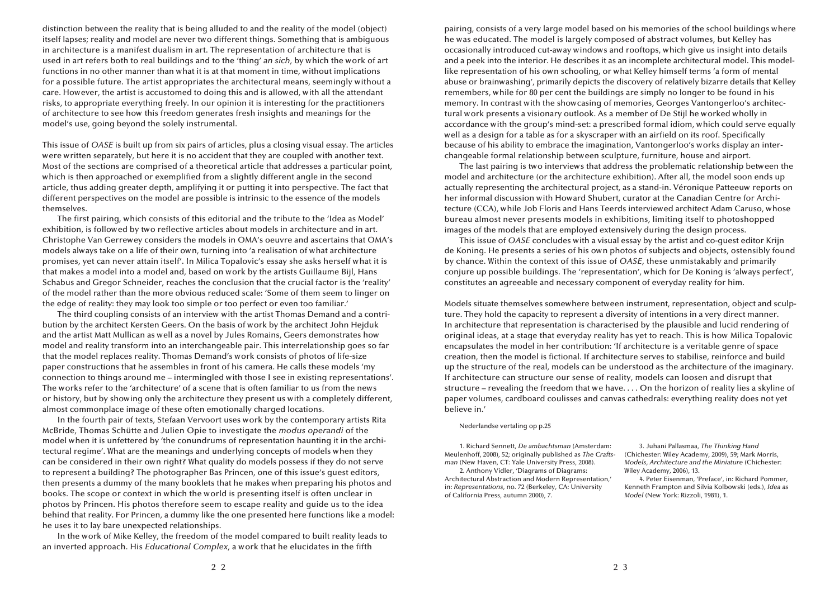distinction between the reality that is being alluded to and the reality of the model (object) itself lapses; reality and model are never two different things. Something that is ambiguous in architecture is a manifest dualism in art. The representation of architecture that is used in art refers both to real buildings and to the 'thing' *an sich*, by which the work of art functions in no other manner than what it is at that moment in time, without implications for a possible future. The artist appropriates the architectural means, seemingly without a care. However, the artist is accustomed to doing this and is allowed, with all the attendant risks, to appropriate everything freely. In our opinion it is interesting for the practitioners of architecture to see how this freedom generates fresh insights and meanings for the model's use, going beyond the solely instrumental.

This issue of *OASE* is built up from six pairs of articles, plus a closing visual essay. The articles were written separately, but here it is no accident that they are coupled with another text. Most of the sections are comprised of a theoretical article that addresses a particular point, which is then approached or exemplified from a slightly different angle in the second article, thus adding greater depth, amplifying it or putting it into perspective. The fact that different perspectives on the model are possible is intrinsic to the essence of the models themselves.

The first pairing, which consists of this editorial and the tribute to the 'Idea as Model' exhibition, is followed by two reflective articles about models in architecture and in art. Christophe Van Gerrewey considers the models in OMA's oeuvre and ascertains that OMA's models always take on a life of their own, turning into 'a realisation of what architecture promises, yet can never attain itself'. In Milica Topalovic's essay she asks herself what it is that makes a model into a model and, based on work by the artists Guillaume Bijl, Hans Schabus and Gregor Schneider, reaches the conclusion that the crucial factor is the 'reality' of the model rather than the more obvious reduced scale: 'Some of them seem to linger on the edge of reality: they may look too simple or too perfect or even too familiar.'

The third coupling consists of an interview with the artist Thomas Demand and a contribution by the architect Kersten Geers. On the basis of work by the architect John Hejduk and the artist Matt Mullican as well as a novel by Jules Romains, Geers demonstrates how model and reality transform into an interchangeable pair. This interrelationship goes so far that the model replaces reality. Thomas Demand's work consists of photos of life-size paper constructions that he assembles in front of his camera. He calls these models 'my connection to things around me – intermingled with those I see in existing representations'. The works refer to the 'architecture' of a scene that is often familiar to us from the news or history, but by showing only the architecture they present us with a completely different, almost commonplace image of these often emotionally charged locations.

In the fourth pair of texts, Stefaan Vervoort uses work by the contemporary artists Rita McBride, Thomas Schütte and Julien Opie to investigate the *modus operandi* of the model when it is unfettered by 'the conundrums of representation haunting it in the architectural regime'. What are the meanings and underlying concepts of models when they can be considered in their own right? What quality do models possess if they do not serve to represent a building? The photographer Bas Princen, one of this issue's guest editors, then presents a dummy of the many booklets that he makes when preparing his photos and books. The scope or context in which the world is presenting itself is often unclear in photos by Princen. His photos therefore seem to escape reality and guide us to the idea behind that reality. For Princen, a dummy like the one presented here functions like a model: he uses it to lay bare unexpected relationships.

In the work of Mike Kelley, the freedom of the model compared to built reality leads to an inverted approach. His *Educational Complex*, a work that he elucidates in the fifth

pairing, consists of a very large model based on his memories of the school buildings where he was educated. The model is largely composed of abstract volumes, but Kelley has occasionally introduced cut-away windows and rooftops, which give us insight into details and a peek into the interior. He describes it as an incomplete architectural model. This modellike representation of his own schooling, or what Kelley himself terms 'a form of mental abuse or brainwashing', primarily depicts the discovery of relatively bizarre details that Kelley remembers, while for 80 per cent the buildings are simply no longer to be found in his memory. In contrast with the showcasing of memories, Georges Vantongerloo's architectural work presents a visionary outlook. As a member of De Stijl he worked wholly in accordance with the group's mind-set: a prescribed formal idiom, which could serve equally well as a design for a table as for a skyscraper with an airfield on its roof. Specifically because of his ability to embrace the imagination, Vantongerloo's works display an interchangeable formal relationship between sculpture, furniture, house and airport.

The last pairing is two interviews that address the problematic relationship between the model and architecture (or the architecture exhibition). After all, the model soon ends up actually representing the architectural project, as a stand-in. Véronique Patteeuw reports on her informal discussion with Howard Shubert, curator at the Canadian Centre for Architecture (CCA), while Job Floris and Hans Teerds interviewed architect Adam Caruso, whose bureau almost never presents models in exhibitions, limiting itself to photoshopped images of the models that are employed extensively during the design process.

This issue of *OASE* concludes with a visual essay by the artist and co-guest editor Krijn de Koning. He presents a series of his own photos of subjects and objects, ostensibly found by chance. Within the context of this issue of *OASE*, these unmistakably and primarily conjure up possible buildings. The 'representation', which for De Koning is 'always perfect', constitutes an agreeable and necessary component of everyday reality for him.

Models situate themselves somewhere between instrument, representation, object and sculpture. They hold the capacity to represent a diversity of intentions in a very direct manner. In architecture that representation is characterised by the plausible and lucid rendering of original ideas, at a stage that everyday reality has yet to reach. This is how Milica Topalovic encapsulates the model in her contribution: 'If architecture is a veritable genre of space creation, then the model is fictional. If architecture serves to stabilise, reinforce and build up the structure of the real, models can be understood as the architecture of the imaginary. If architecture can structure our sense of reality, models can loosen and disrupt that structure – revealing the freedom that we have. . . . On the horizon of reality lies a skyline of paper volumes, cardboard coulisses and canvas cathedrals: everything reality does not yet believe in.'

## Nederlandse vertaling op p.25

1. Richard Sennett, *De ambachtsman* (Amsterdam: Meulenhoff, 2008), 52; originally published as *The Craftsman* (New Haven, CT: Yale University Press, 2008).

2. Anthony Vidler, 'Diagrams of Diagrams: Architectural Abstraction and Modern Representation,' in: *Representations*, no. 72 (Berkeley, CA: University of California Press, autumn 2000), 7.

3. Juhani Pallasmaa, *The Thinking Hand* (Chichester: Wiley Academy, 2009), 59; Mark Morris, *Models, Architecture and the Miniature* (Chichester: Wiley Academy, 2006), 13.

4. Peter Eisenman, 'Preface', in: Richard Pommer, Kenneth Frampton and Silvia Kolbowski (eds.), *Idea as Model* (New York: Rizzoli, 1981), 1.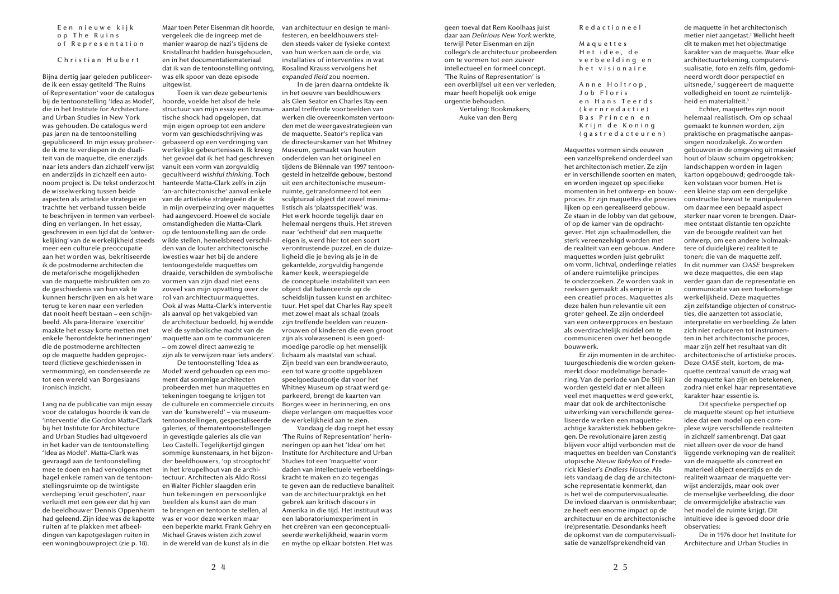geen toeval dat Rem Koolhaas juist daar aan *Delirious New York* werkte, terwijl Peter Eisenman en zijn collega's de architectuur probeerden om te vormen tot een zuiver intellectueel en formeel concept. 'The Ruins of Representation' is een overblijfsel uit een ver verleden, maar heeft hopelijk ook enige urgentie behouden.

> Vertaling: Bookmakers, Auke van den Berg

R e d a c t i o n e e l

M a q u e t t e s Het idee, de v e r b e e l d i n g e n h e t visionaire

Anne Holtrop, Job Floris en Hans Teerds ( k e r n r e d a c t i e ) Bas Princen en Krijn de Koning ( g a s t r e d a c t e u r e n )

Maquettes vormen sinds eeuwen een vanzelfsprekend onderdeel van het architectonisch metier. Ze zijn er in verschillende soorten en maten, en worden ingezet op specifieke momenten in het ontwerp- en bouwproces. Er zijn maquettes die precies lijken op een gerealiseerd gebouw. Ze staan in de lobby van dat gebouw, of op de kamer van de opdrachtgever. Het zijn schaalmodellen, die sterk vereenzelvigd worden met de realiteit van een gebouw. Andere maquettes worden juist gebruikt om vorm, lichtval, onderlinge relaties of andere ruimtelijke principes te onderzoeken. Ze worden vaak in reeksen gemaakt: als empirie in een creatief proces. Maquettes als deze halen hun relevantie uit een groter geheel. Ze zijn onderdeel van een ontwerpproces en bestaan als overdrachtelijk middel om te communiceren over het beoogde bouwwerk.

Er zijn momenten in de architectuurgeschiedenis die worden gekenmerkt door modelmatige benadering. Van de periode van De Stijl kan worden gesteld dat er niet alleen veel met maquettes werd gewerkt, maar dat ook de architectonische uitwerking van verschillende gerealiseerde werken een maquetteachtige karakteristiek hebben gekregen. De revolutionaire jaren zestig blijven voor altijd verbonden met de maquettes en beelden van Constant's utopische *Nieuw Babylon* of Frederick Kiesler's *Endless House*. Als iets vandaag de dag de architectonische representatie kenmerkt, dan is het wel de computervisualisatie. De invloed daarvan is onmiskenbaar; ze heeft een enorme impact op de architectuur en de architectonische (re)presentatie. Desondanks heeft de opkomst van de computervisualisatie de vanzelfsprekendheid van

de maquette in het architectonisch metier niet aangetast.1 Wellicht heeft dit te maken met het objectmatige karakter van de maquette. Waar elke architectuurtekening, computervisualisatie, foto en zelfs film, gedomineerd wordt door perspectief en uitsnede,<sup>2</sup> suggereert de maquette volledigheid en toont ze ruimtelijkheid en materialiteit.<sup>3</sup>

Echter, maquettes zijn nooit helemaal realistisch. Om op schaal gemaakt te kunnen worden, zijn praktische en pragmatische aanpassingen noodzakelijk. Zo worden gebouwen in de omgeving uit massief hout of blauw schuim opgetrokken; landschappen worden in lagen karton opgebouwd; gedroogde takken volstaan voor bomen. Het is een kleine stap om een dergelijke constructie bewust te manipuleren om daarmee een bepaald aspect sterker naar voren te brengen. Daarmee ontstaat distantie ten opzichte van de beoogde realiteit van het ontwerp, om een andere (volmaaktere of duidelijkere) realiteit te tonen: die van de maquette zelf. In dit nummer van *OASE* bespreken we deze maquettes, die een stap verder gaan dan de representatie en communicatie van een toekomstige werkelijkheid. Deze maquettes zijn zelfstandige objecten of constructies, die aanzetten tot associatie, interpretatie en verbeelding. Ze laten zich niet reduceren tot instrumenten in het architectonische proces, maar zijn zelf het resultaat van dit architectonische of artistieke proces. Deze *OASE* stelt, kortom, de maquette centraal vanuit de vraag wat de maquette kan zijn en betekenen, zodra niet enkel haar representatieve karakter haar essentie is.

Dit specifieke perspectief op de maquette steunt op het intuïtieve idee dat een model op een complexe wijze verschillende realiteiten in zichzelf samenbrengt. Dat gaat niet alleen over de voor de hand liggende verknoping van de realiteit van de maquette als concreet en materieel object enerzijds en de realiteit waarnaar de maquette verwijst anderzijds, maar ook over de menselijke verbeelding, die door de onvermijdelijke abstractie van het model de ruimte krijgt. Dit intuïtieve idee is gevoed door drie observaties:

De in 1976 door het Institute for Architecture and Urban Studies in